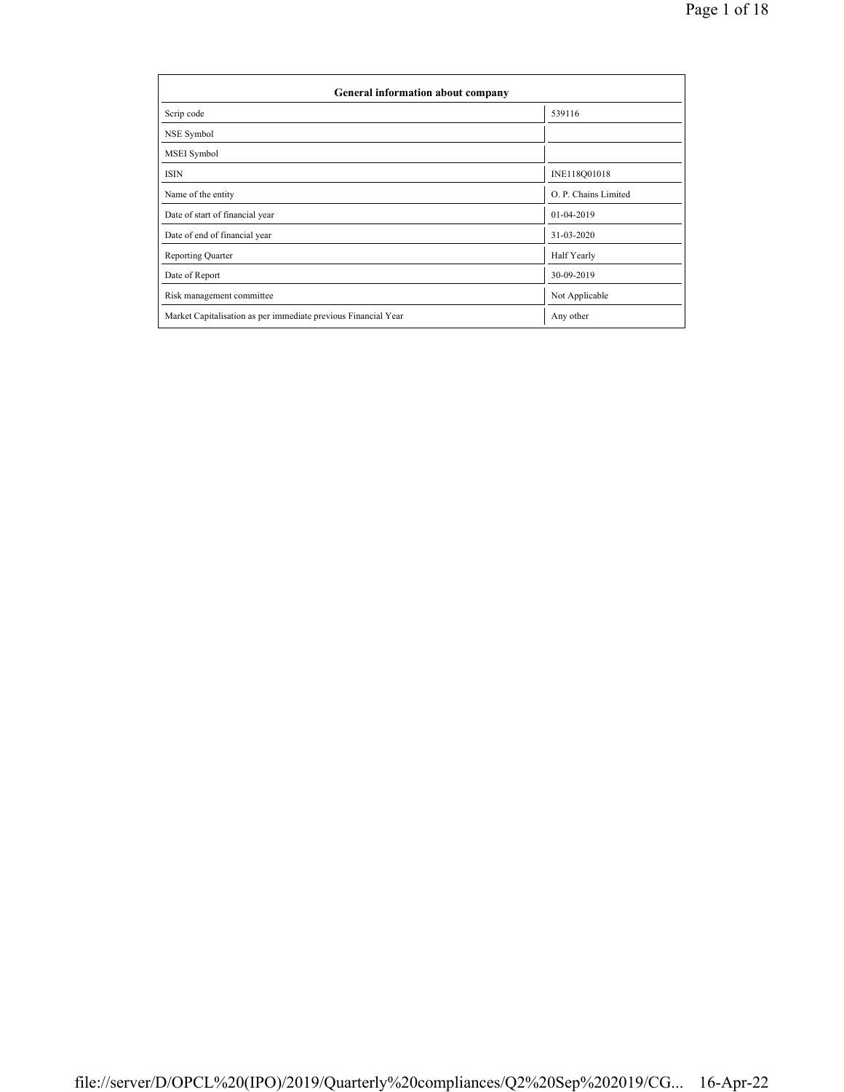| General information about company                              |                      |
|----------------------------------------------------------------|----------------------|
| Scrip code                                                     | 539116               |
| NSE Symbol                                                     |                      |
| MSEI Symbol                                                    |                      |
| <b>ISIN</b>                                                    | INE118Q01018         |
| Name of the entity                                             | O. P. Chains Limited |
| Date of start of financial year                                | 01-04-2019           |
| Date of end of financial year                                  | 31-03-2020           |
| <b>Reporting Quarter</b>                                       | Half Yearly          |
| Date of Report                                                 | 30-09-2019           |
| Risk management committee                                      | Not Applicable       |
| Market Capitalisation as per immediate previous Financial Year | Any other            |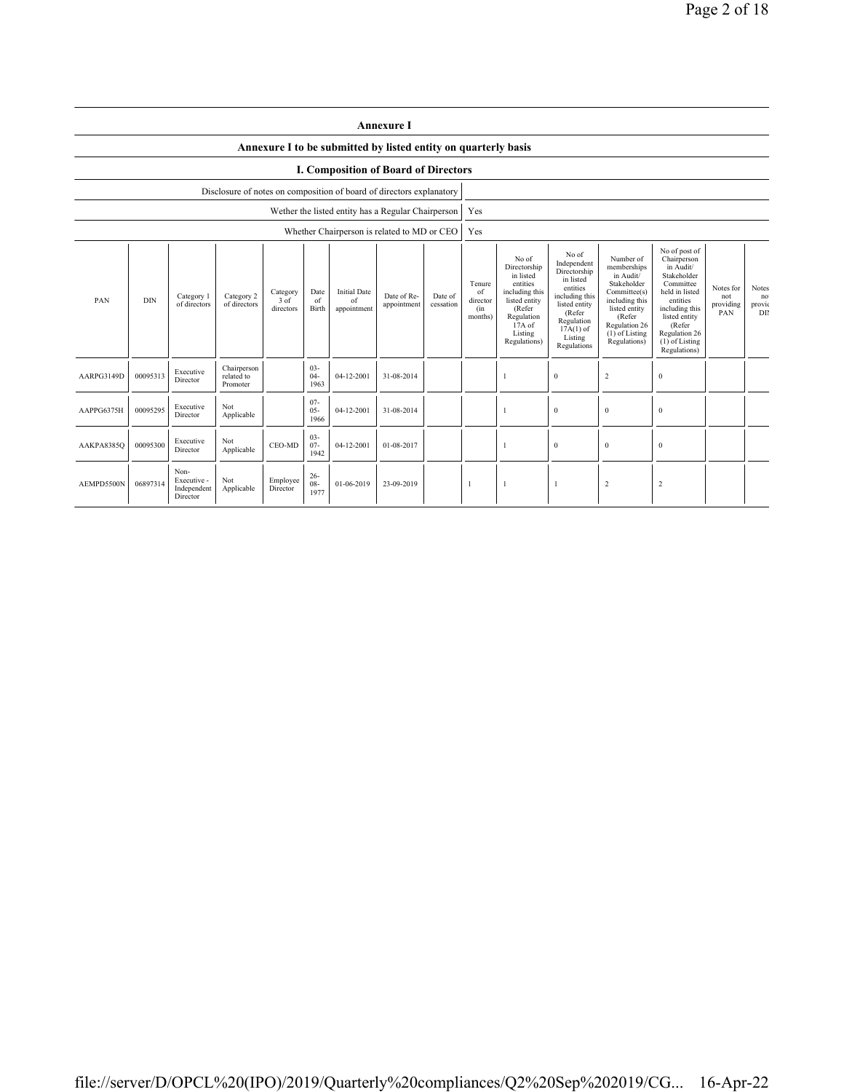|                                                                                                                                                                                                                              | <b>Annexure I</b>                    |                                                |                                       |                      |                          |                                                                      |                                                                                                                                                |                                                                                                                                                                   |                                                                                                                                                                        |                                                                                                                                                                                                       |                                      |                                    |                |  |  |
|------------------------------------------------------------------------------------------------------------------------------------------------------------------------------------------------------------------------------|--------------------------------------|------------------------------------------------|---------------------------------------|----------------------|--------------------------|----------------------------------------------------------------------|------------------------------------------------------------------------------------------------------------------------------------------------|-------------------------------------------------------------------------------------------------------------------------------------------------------------------|------------------------------------------------------------------------------------------------------------------------------------------------------------------------|-------------------------------------------------------------------------------------------------------------------------------------------------------------------------------------------------------|--------------------------------------|------------------------------------|----------------|--|--|
| Annexure I to be submitted by listed entity on quarterly basis                                                                                                                                                               |                                      |                                                |                                       |                      |                          |                                                                      |                                                                                                                                                |                                                                                                                                                                   |                                                                                                                                                                        |                                                                                                                                                                                                       |                                      |                                    |                |  |  |
|                                                                                                                                                                                                                              | I. Composition of Board of Directors |                                                |                                       |                      |                          |                                                                      |                                                                                                                                                |                                                                                                                                                                   |                                                                                                                                                                        |                                                                                                                                                                                                       |                                      |                                    |                |  |  |
|                                                                                                                                                                                                                              |                                      |                                                |                                       |                      |                          | Disclosure of notes on composition of board of directors explanatory |                                                                                                                                                |                                                                                                                                                                   |                                                                                                                                                                        |                                                                                                                                                                                                       |                                      |                                    |                |  |  |
|                                                                                                                                                                                                                              |                                      |                                                |                                       |                      |                          | Wether the listed entity has a Regular Chairperson                   |                                                                                                                                                |                                                                                                                                                                   | Yes                                                                                                                                                                    |                                                                                                                                                                                                       |                                      |                                    |                |  |  |
|                                                                                                                                                                                                                              |                                      |                                                |                                       |                      |                          | Whether Chairperson is related to MD or CEO                          |                                                                                                                                                |                                                                                                                                                                   | Yes                                                                                                                                                                    |                                                                                                                                                                                                       |                                      |                                    |                |  |  |
| <b>Initial Date</b><br>Date<br>Category<br>Category 2<br>Category 1<br>Date of Re-<br>Date of<br>PAN<br><b>DIN</b><br>$3$ of<br>of<br>of<br>of directors<br>of directors<br>appointment<br>Birth<br>directors<br>appointment |                                      |                                                |                                       |                      | cessation                | Tenure<br>of<br>director<br>(in<br>months)                           | No of<br>Directorship<br>in listed<br>entities<br>including this<br>listed entity<br>(Refer<br>Regulation<br>17A of<br>Listing<br>Regulations) | No of<br>Independent<br>Directorship<br>in listed<br>entities<br>including this<br>listed entity<br>(Refer<br>Regulation<br>$17A(1)$ of<br>Listing<br>Regulations | Number of<br>memberships<br>in Audit/<br>Stakeholder<br>Committee(s)<br>including this<br>listed entity<br>(Refer<br>Regulation 26<br>$(1)$ of Listing<br>Regulations) | No of post of<br>Chairperson<br>in Audit/<br>Stakeholder<br>Committee<br>held in listed<br>entities<br>including this<br>listed entity<br>(Refer<br>Regulation 26<br>$(1)$ of Listing<br>Regulations) | Notes for<br>not<br>providing<br>PAN | <b>Notes</b><br>no<br>provic<br>DB |                |  |  |
| AARPG3149D                                                                                                                                                                                                                   | 00095313                             | Executive<br>Director                          | Chairperson<br>related to<br>Promoter |                      | $03 -$<br>$04 -$<br>1963 | 04-12-2001                                                           | 31-08-2014                                                                                                                                     |                                                                                                                                                                   |                                                                                                                                                                        |                                                                                                                                                                                                       | $\Omega$                             | $\overline{2}$                     | $\mathbf{0}$   |  |  |
| AAPPG6375H                                                                                                                                                                                                                   | 00095295                             | Executive<br>Director                          | Not<br>Applicable                     |                      | $07 -$<br>$05 -$<br>1966 | 04-12-2001                                                           | 31-08-2014                                                                                                                                     |                                                                                                                                                                   |                                                                                                                                                                        | 1                                                                                                                                                                                                     | $\mathbf{0}$                         | $\bf{0}$                           | $\bf{0}$       |  |  |
| $03 -$<br>Not<br>Executive<br>00095300<br>CEO-MD<br>$07 -$<br>04-12-2001<br>01-08-2017<br>AAKPA8385Q<br>Applicable<br>Director<br>1942                                                                                       |                                      |                                                |                                       |                      |                          |                                                                      |                                                                                                                                                | 1                                                                                                                                                                 | $\mathbf{0}$                                                                                                                                                           | $\bf{0}$                                                                                                                                                                                              | $\bf{0}$                             |                                    |                |  |  |
| AEMPD5500N                                                                                                                                                                                                                   | 06897314                             | Non-<br>Executive -<br>Independent<br>Director | Not<br>Applicable                     | Employee<br>Director | $26 -$<br>$08 -$<br>1977 | 01-06-2019                                                           | 23-09-2019                                                                                                                                     |                                                                                                                                                                   | $\overline{1}$                                                                                                                                                         | $\mathbf{1}$                                                                                                                                                                                          | -1                                   | $\overline{2}$                     | $\overline{2}$ |  |  |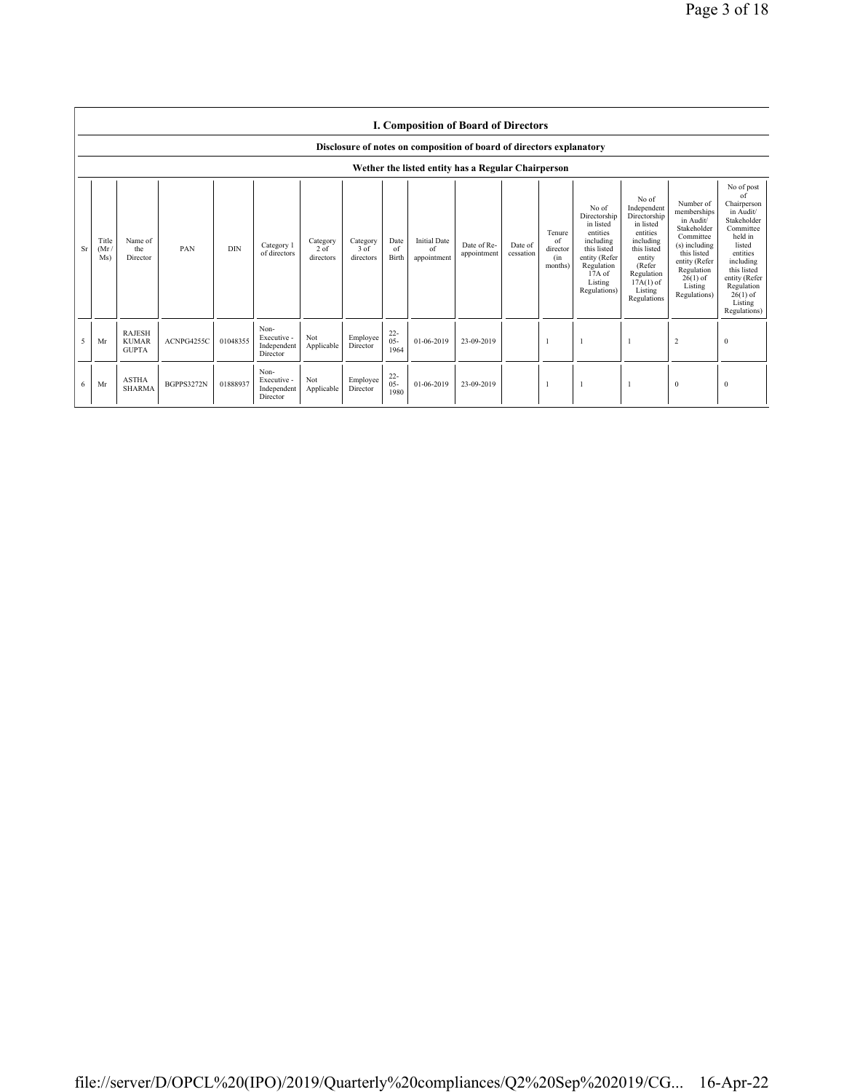|    | <b>I. Composition of Board of Directors</b>                          |                                               |                   |            |                                                |                                 |                                 |                          |                                          |                                                    |                      |                                            |                                                                                                                                                |                                                                                                                                                                      |                                                                                                                                                                           |                                                                                                                                                                                                               |
|----|----------------------------------------------------------------------|-----------------------------------------------|-------------------|------------|------------------------------------------------|---------------------------------|---------------------------------|--------------------------|------------------------------------------|----------------------------------------------------|----------------------|--------------------------------------------|------------------------------------------------------------------------------------------------------------------------------------------------|----------------------------------------------------------------------------------------------------------------------------------------------------------------------|---------------------------------------------------------------------------------------------------------------------------------------------------------------------------|---------------------------------------------------------------------------------------------------------------------------------------------------------------------------------------------------------------|
|    | Disclosure of notes on composition of board of directors explanatory |                                               |                   |            |                                                |                                 |                                 |                          |                                          |                                                    |                      |                                            |                                                                                                                                                |                                                                                                                                                                      |                                                                                                                                                                           |                                                                                                                                                                                                               |
|    |                                                                      |                                               |                   |            |                                                |                                 |                                 |                          |                                          | Wether the listed entity has a Regular Chairperson |                      |                                            |                                                                                                                                                |                                                                                                                                                                      |                                                                                                                                                                           |                                                                                                                                                                                                               |
| Sr | Title<br>(Mr)<br>Ms)                                                 | Name of<br>the<br>Director                    | PAN               | <b>DIN</b> | Category 1<br>of directors                     | Category<br>$2$ of<br>directors | Category<br>$3$ of<br>directors | Date<br>of<br>Birth      | <b>Initial Date</b><br>of<br>appointment | Date of Re-<br>appointment                         | Date of<br>cessation | Tenure<br>of<br>director<br>(in<br>months) | No of<br>Directorship<br>in listed<br>entities<br>including<br>this listed<br>entity (Refer<br>Regulation<br>17A of<br>Listing<br>Regulations) | No of<br>Independent<br>Directorship<br>in listed<br>entities<br>including<br>this listed<br>entity<br>(Refer<br>Regulation<br>$17A(1)$ of<br>Listing<br>Regulations | Number of<br>memberships<br>in Audit/<br>Stakeholder<br>Committee<br>(s) including<br>this listed<br>entity (Refer<br>Regulation<br>$26(1)$ of<br>Listing<br>Regulations) | No of post<br>of<br>Chairperson<br>in Audit/<br>Stakeholder<br>Committee<br>held in<br>listed<br>entities<br>including<br>this listed<br>entity (Refer<br>Regulation<br>$26(1)$ of<br>Listing<br>Regulations) |
| 5  | Mr                                                                   | <b>RAJESH</b><br><b>KUMAR</b><br><b>GUPTA</b> | ACNPG4255C        | 01048355   | Non-<br>Executive -<br>Independent<br>Director | Not<br>Applicable               | Employee<br>Director            | $22 -$<br>$05 -$<br>1964 | 01-06-2019                               | 23-09-2019                                         |                      |                                            |                                                                                                                                                |                                                                                                                                                                      | 2                                                                                                                                                                         | $\mathbf{0}$                                                                                                                                                                                                  |
| 6  | Mr                                                                   | <b>ASTHA</b><br><b>SHARMA</b>                 | <b>BGPPS3272N</b> | 01888937   | Non-<br>Executive -<br>Independent<br>Director | Not<br>Applicable               | Employee<br>Director            | $22 -$<br>$05 -$<br>1980 | 01-06-2019                               | 23-09-2019                                         |                      |                                            |                                                                                                                                                |                                                                                                                                                                      | $\mathbf{0}$                                                                                                                                                              | $\bf{0}$                                                                                                                                                                                                      |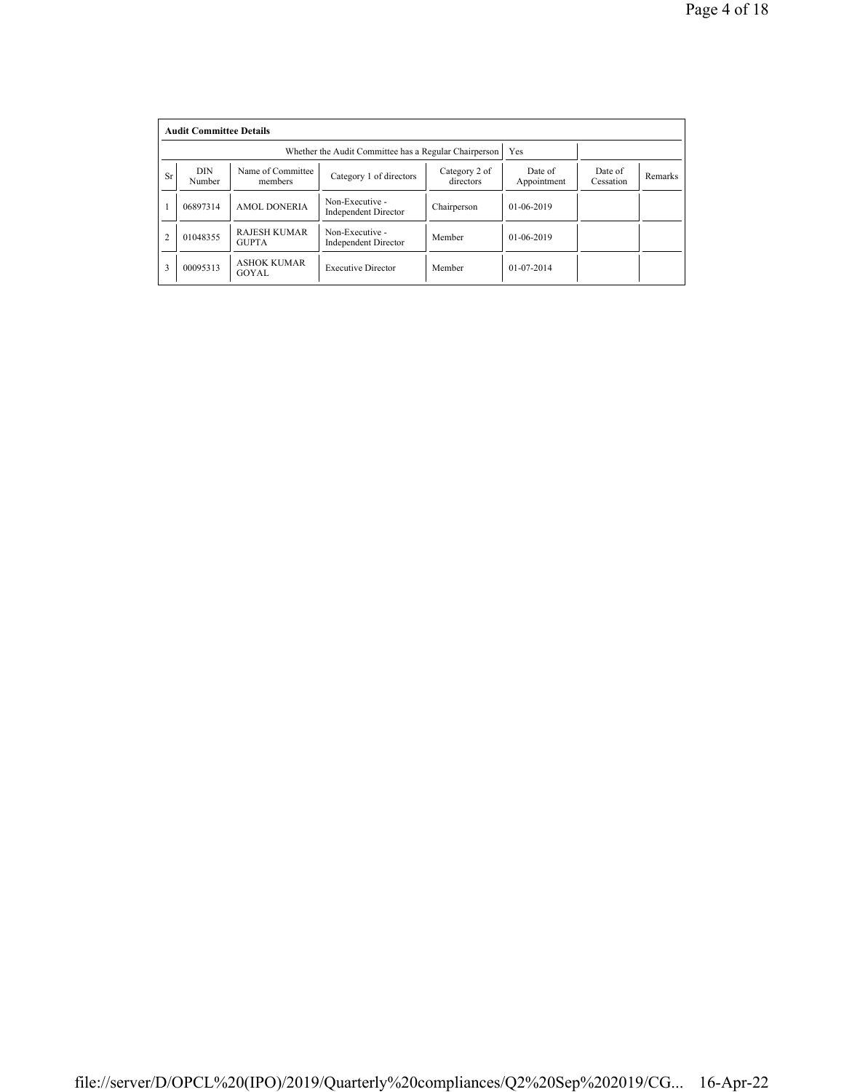|                | <b>Audit Committee Details</b> |                                     |                                                       |                            |                        |                      |         |  |  |  |
|----------------|--------------------------------|-------------------------------------|-------------------------------------------------------|----------------------------|------------------------|----------------------|---------|--|--|--|
|                |                                |                                     | Whether the Audit Committee has a Regular Chairperson | Yes                        |                        |                      |         |  |  |  |
| <b>Sr</b>      | DIN<br>Number                  | Name of Committee<br>members        | Category 1 of directors                               | Category 2 of<br>directors | Date of<br>Appointment | Date of<br>Cessation | Remarks |  |  |  |
|                | 06897314                       | <b>AMOL DONERIA</b>                 | Non-Executive -<br><b>Independent Director</b>        | Chairperson                | $01-06-2019$           |                      |         |  |  |  |
| $\overline{2}$ | 01048355                       | <b>RAJESH KUMAR</b><br><b>GUPTA</b> | Non-Executive -<br><b>Independent Director</b>        | Member                     | $01-06-2019$           |                      |         |  |  |  |
| 3              | 00095313                       | <b>ASHOK KUMAR</b><br>GOYAL         | <b>Executive Director</b>                             | Member                     | $01 - 07 - 2014$       |                      |         |  |  |  |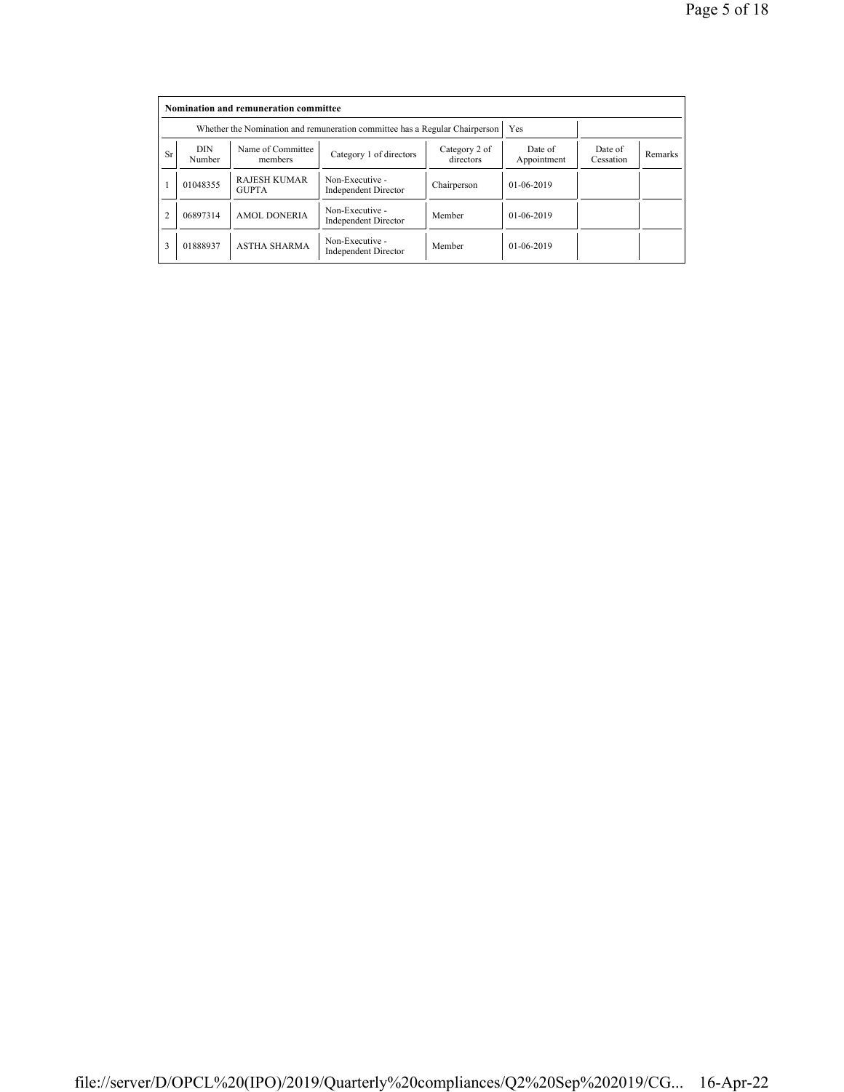|                | Nomination and remuneration committee |                                                                             |                                                |                            |                        |                      |         |  |  |  |
|----------------|---------------------------------------|-----------------------------------------------------------------------------|------------------------------------------------|----------------------------|------------------------|----------------------|---------|--|--|--|
|                |                                       | Whether the Nomination and remuneration committee has a Regular Chairperson | Yes                                            |                            |                        |                      |         |  |  |  |
| <b>Sr</b>      | <b>DIN</b><br>Number                  | Name of Committee<br>members                                                | Category 1 of directors                        | Category 2 of<br>directors | Date of<br>Appointment | Date of<br>Cessation | Remarks |  |  |  |
|                | 01048355                              | <b>RAJESH KUMAR</b><br><b>GUPTA</b>                                         | Non-Executive -<br><b>Independent Director</b> | Chairperson                | $01-06-2019$           |                      |         |  |  |  |
| $\overline{2}$ | 06897314                              | <b>AMOL DONERIA</b>                                                         | Non-Executive -<br><b>Independent Director</b> | Member                     | $01-06-2019$           |                      |         |  |  |  |
| 3              | 01888937                              | <b>ASTHA SHARMA</b>                                                         | Non-Executive -<br><b>Independent Director</b> | Member                     | $01-06-2019$           |                      |         |  |  |  |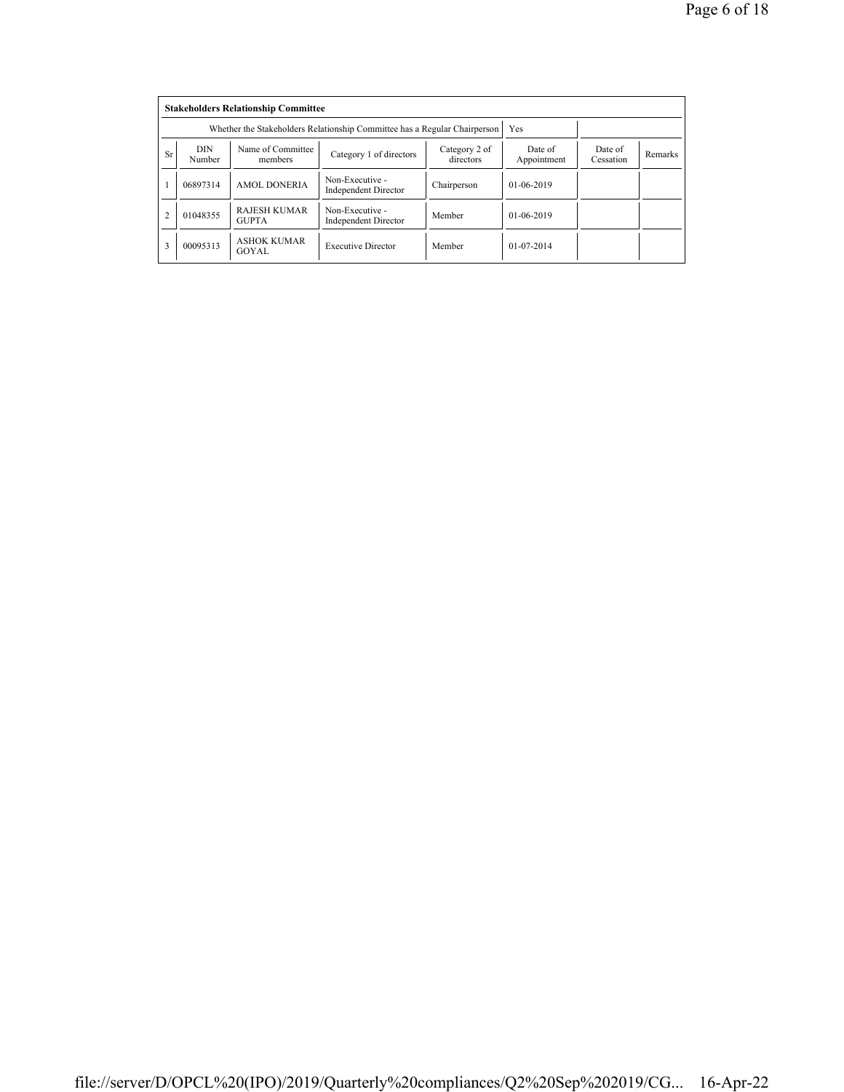|                | <b>Stakeholders Relationship Committee</b> |                                                                           |                                                |                            |                        |                      |         |  |  |  |
|----------------|--------------------------------------------|---------------------------------------------------------------------------|------------------------------------------------|----------------------------|------------------------|----------------------|---------|--|--|--|
|                |                                            | Whether the Stakeholders Relationship Committee has a Regular Chairperson |                                                | Yes                        |                        |                      |         |  |  |  |
| <b>Sr</b>      | <b>DIN</b><br>Number                       | Name of Committee<br>members                                              | Category 1 of directors                        | Category 2 of<br>directors | Date of<br>Appointment | Date of<br>Cessation | Remarks |  |  |  |
|                | 06897314                                   | <b>AMOL DONERIA</b>                                                       | Non-Executive -<br><b>Independent Director</b> | Chairperson                | $01-06-2019$           |                      |         |  |  |  |
| $\overline{2}$ | 01048355                                   | <b>RAJESH KUMAR</b><br><b>GUPTA</b>                                       | Non-Executive -<br><b>Independent Director</b> | Member                     | 01-06-2019             |                      |         |  |  |  |
| 3              | 00095313                                   | <b>ASHOK KUMAR</b><br>GOYAL                                               | <b>Executive Director</b>                      | Member                     | $01 - 07 - 2014$       |                      |         |  |  |  |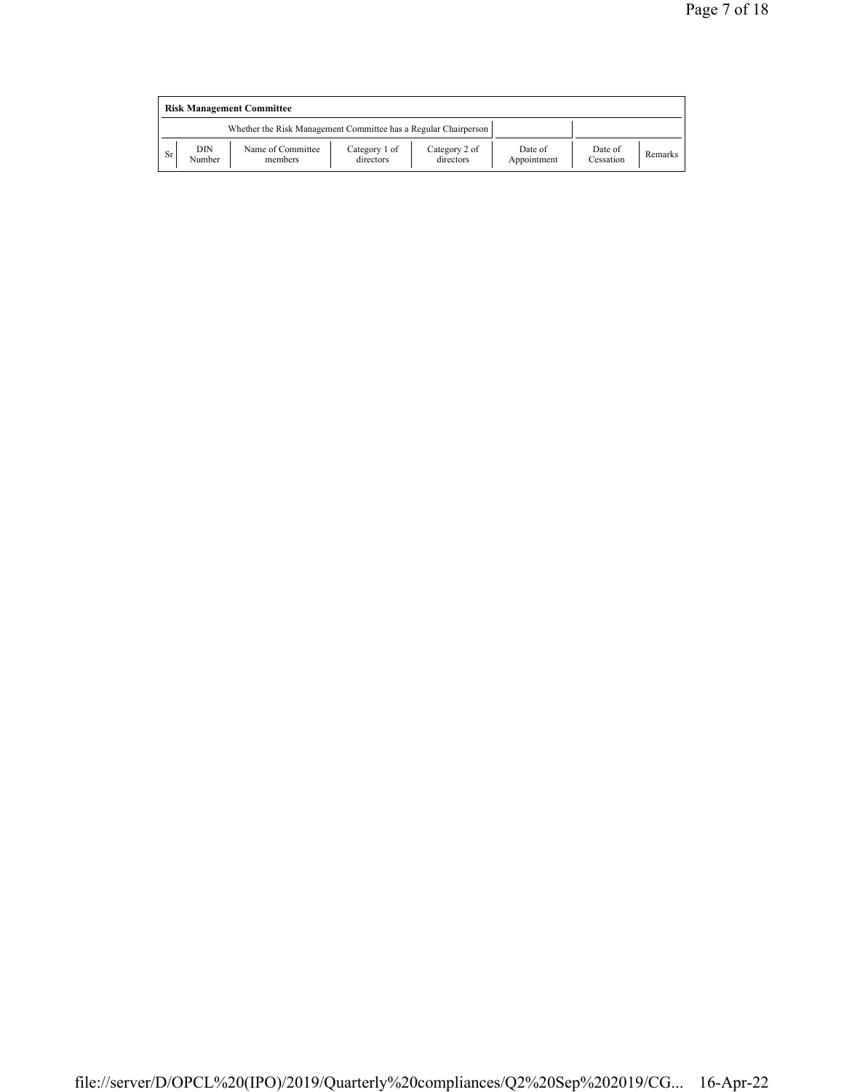|    | <b>Risk Management Committee</b> |                                                                 |                            |                            |                        |                      |         |  |  |  |
|----|----------------------------------|-----------------------------------------------------------------|----------------------------|----------------------------|------------------------|----------------------|---------|--|--|--|
|    |                                  | Whether the Risk Management Committee has a Regular Chairperson |                            |                            |                        |                      |         |  |  |  |
| Sr | DIN<br>Number                    | Name of Committee<br>members                                    | Category 1 of<br>directors | Category 2 of<br>directors | Date of<br>Appointment | Date of<br>Cessation | Remarks |  |  |  |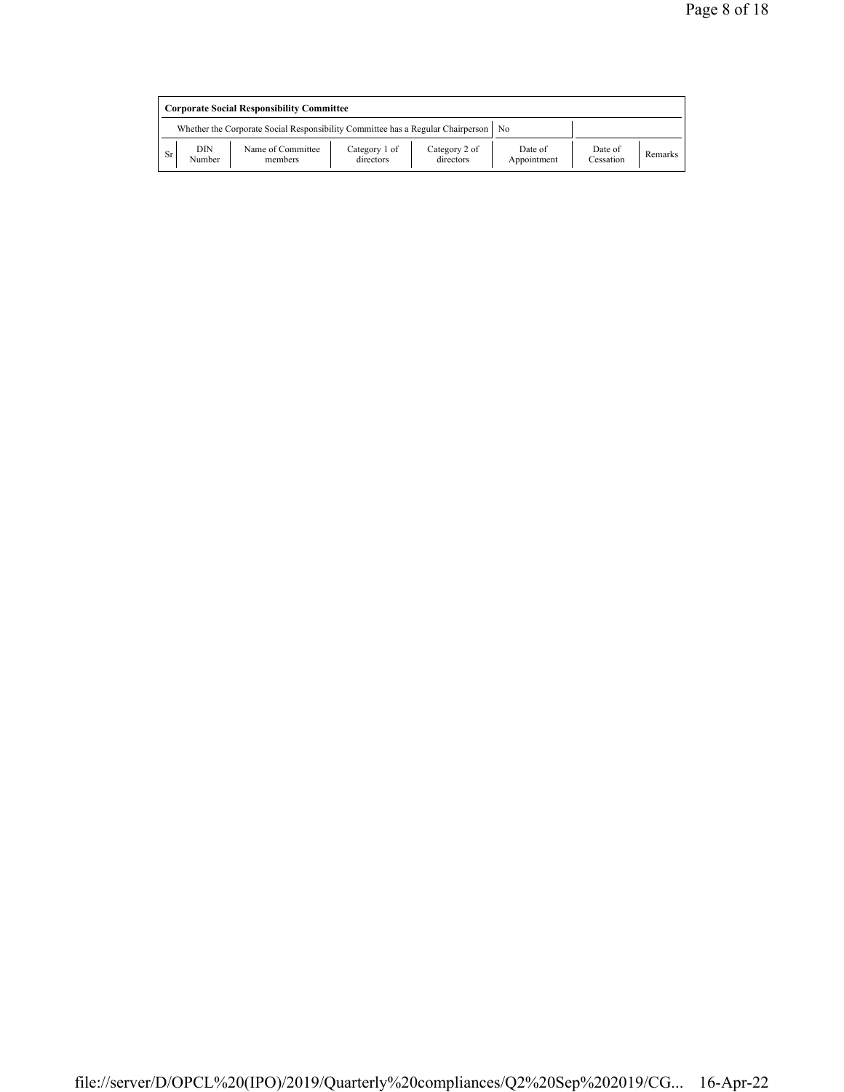|    | <b>Corporate Social Responsibility Committee</b> |                                                                                      |                            |                            |                        |                      |         |  |  |
|----|--------------------------------------------------|--------------------------------------------------------------------------------------|----------------------------|----------------------------|------------------------|----------------------|---------|--|--|
|    |                                                  | Whether the Corporate Social Responsibility Committee has a Regular Chairperson   No |                            |                            |                        |                      |         |  |  |
| Sr | DIN<br>Number                                    | Name of Committee<br>members                                                         | Category 1 of<br>directors | Category 2 of<br>directors | Date of<br>Appointment | Date of<br>Cessation | Remarks |  |  |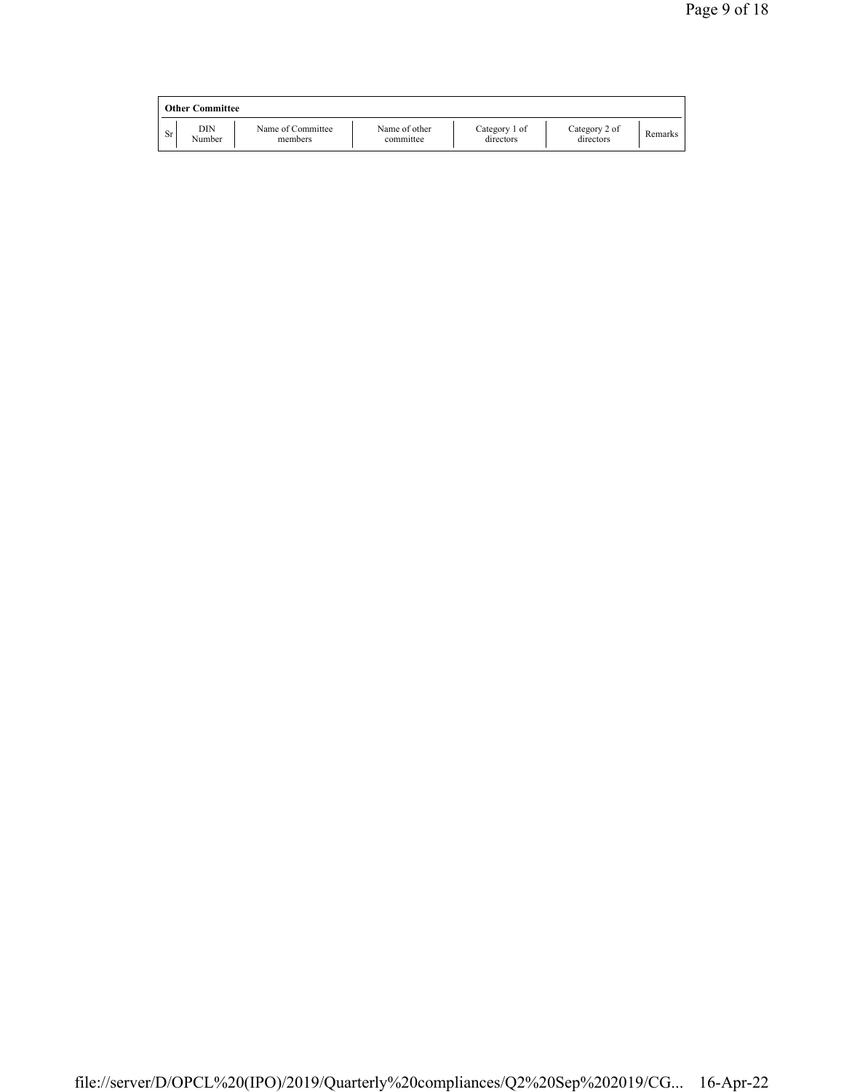|     | <b>Other Committee</b> |                              |                            |                            |                            |         |
|-----|------------------------|------------------------------|----------------------------|----------------------------|----------------------------|---------|
| Sr. | DIN<br>Number          | Name of Committee<br>members | Name of other<br>committee | Category 1 of<br>directors | Category 2 of<br>directors | Remarks |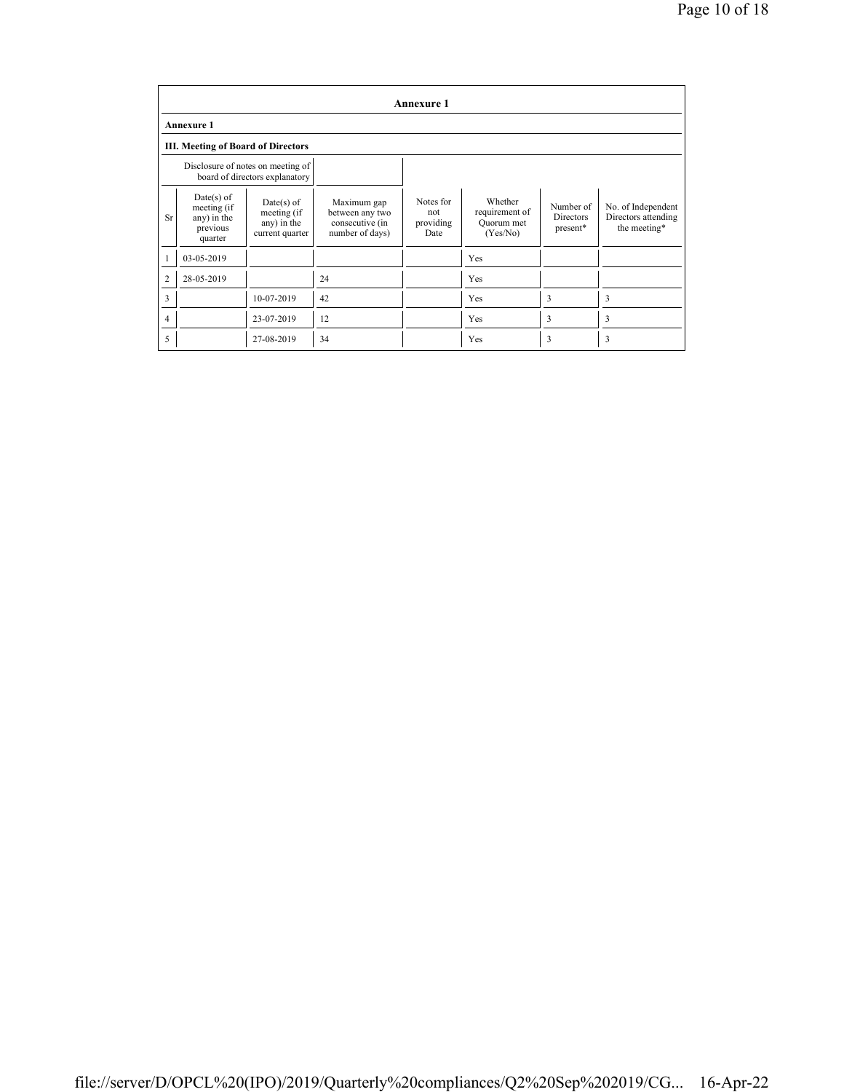|                | <b>Annexure 1</b>                                                 |                                                                     |                                                                      |                                       |                                                     |                                           |                                                           |  |  |
|----------------|-------------------------------------------------------------------|---------------------------------------------------------------------|----------------------------------------------------------------------|---------------------------------------|-----------------------------------------------------|-------------------------------------------|-----------------------------------------------------------|--|--|
|                | <b>Annexure 1</b>                                                 |                                                                     |                                                                      |                                       |                                                     |                                           |                                                           |  |  |
|                | <b>III. Meeting of Board of Directors</b>                         |                                                                     |                                                                      |                                       |                                                     |                                           |                                                           |  |  |
|                |                                                                   | Disclosure of notes on meeting of<br>board of directors explanatory |                                                                      |                                       |                                                     |                                           |                                                           |  |  |
| <b>Sr</b>      | $Date(s)$ of<br>meeting (if<br>any) in the<br>previous<br>quarter | $Date(s)$ of<br>meeting (if<br>any) in the<br>current quarter       | Maximum gap<br>between any two<br>consecutive (in<br>number of days) | Notes for<br>not<br>providing<br>Date | Whether<br>requirement of<br>Quorum met<br>(Yes/No) | Number of<br><b>Directors</b><br>present* | No. of Independent<br>Directors attending<br>the meeting* |  |  |
|                | 03-05-2019                                                        |                                                                     |                                                                      |                                       | Yes                                                 |                                           |                                                           |  |  |
| $\overline{2}$ | 28-05-2019                                                        |                                                                     | 24                                                                   |                                       | Yes                                                 |                                           |                                                           |  |  |
| 3              |                                                                   | 10-07-2019                                                          | 42                                                                   |                                       | Yes                                                 | 3                                         | 3                                                         |  |  |
| 4              |                                                                   | 23-07-2019                                                          | 12                                                                   |                                       | Yes                                                 | 3                                         | 3                                                         |  |  |
| 5              |                                                                   | 27-08-2019                                                          | 34                                                                   |                                       | Yes                                                 | 3                                         | 3                                                         |  |  |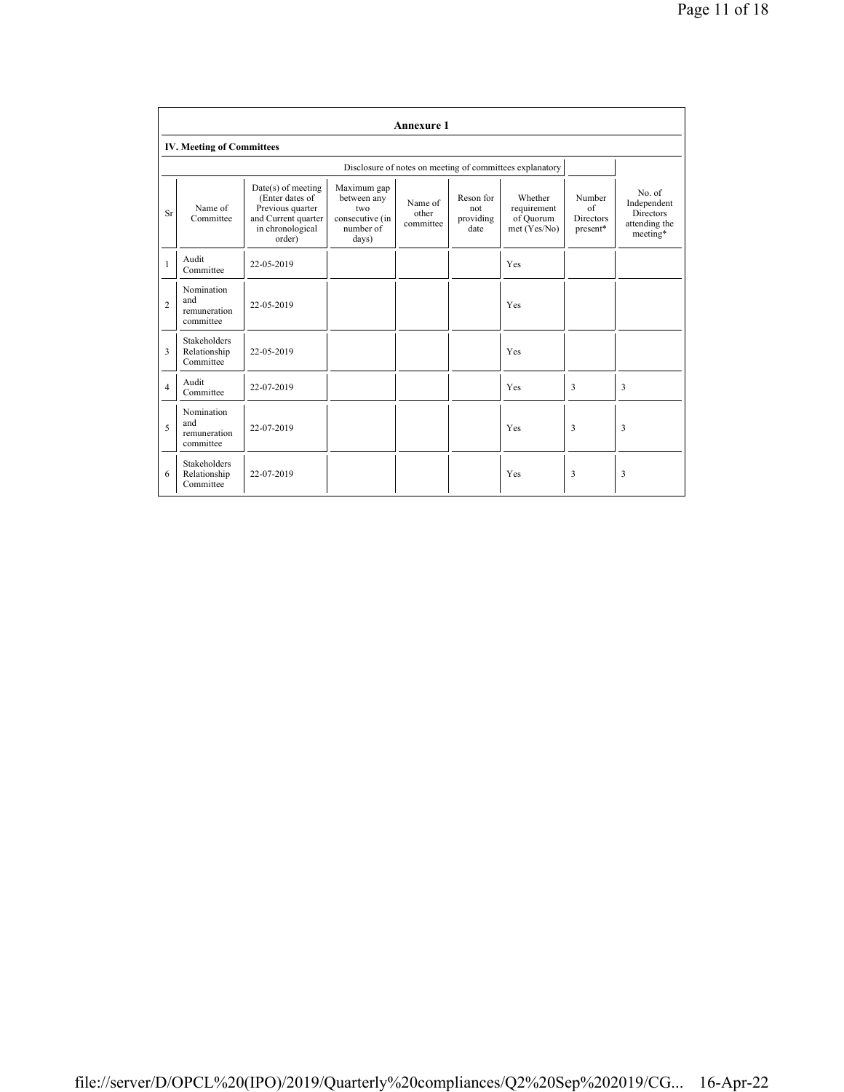|                | <b>Annexure 1</b>                                |                                                                                                                |                                                                            |                               |                                       |                                                          |                                              |                                                                 |
|----------------|--------------------------------------------------|----------------------------------------------------------------------------------------------------------------|----------------------------------------------------------------------------|-------------------------------|---------------------------------------|----------------------------------------------------------|----------------------------------------------|-----------------------------------------------------------------|
|                | <b>IV. Meeting of Committees</b>                 |                                                                                                                |                                                                            |                               |                                       |                                                          |                                              |                                                                 |
|                |                                                  |                                                                                                                |                                                                            |                               |                                       | Disclosure of notes on meeting of committees explanatory |                                              |                                                                 |
| <b>Sr</b>      | Name of<br>Committee                             | Date(s) of meeting<br>(Enter dates of<br>Previous quarter<br>and Current quarter<br>in chronological<br>order) | Maximum gap<br>between any<br>two<br>consecutive (in<br>number of<br>days) | Name of<br>other<br>committee | Reson for<br>not<br>providing<br>date | Whether<br>requirement<br>of Ouorum<br>met (Yes/No)      | Number<br>of<br><b>Directors</b><br>present* | No. of<br>Independent<br>Directors<br>attending the<br>meeting* |
| 1              | Audit<br>Committee                               | 22-05-2019                                                                                                     |                                                                            |                               |                                       | Yes                                                      |                                              |                                                                 |
| $\overline{c}$ | Nomination<br>and<br>remuneration<br>committee   | 22-05-2019                                                                                                     |                                                                            |                               |                                       | Yes                                                      |                                              |                                                                 |
| 3              | <b>Stakeholders</b><br>Relationship<br>Committee | 22-05-2019                                                                                                     |                                                                            |                               |                                       | Yes                                                      |                                              |                                                                 |
| $\overline{4}$ | Audit<br>Committee                               | 22-07-2019                                                                                                     |                                                                            |                               |                                       | Yes                                                      | 3                                            | 3                                                               |
| 5              | Nomination<br>and<br>remuneration<br>committee   | 22-07-2019                                                                                                     |                                                                            |                               |                                       | Yes                                                      | 3                                            | 3                                                               |
| 6              | Stakeholders<br>Relationship<br>Committee        | 22-07-2019                                                                                                     |                                                                            |                               |                                       | Yes                                                      | 3                                            | 3                                                               |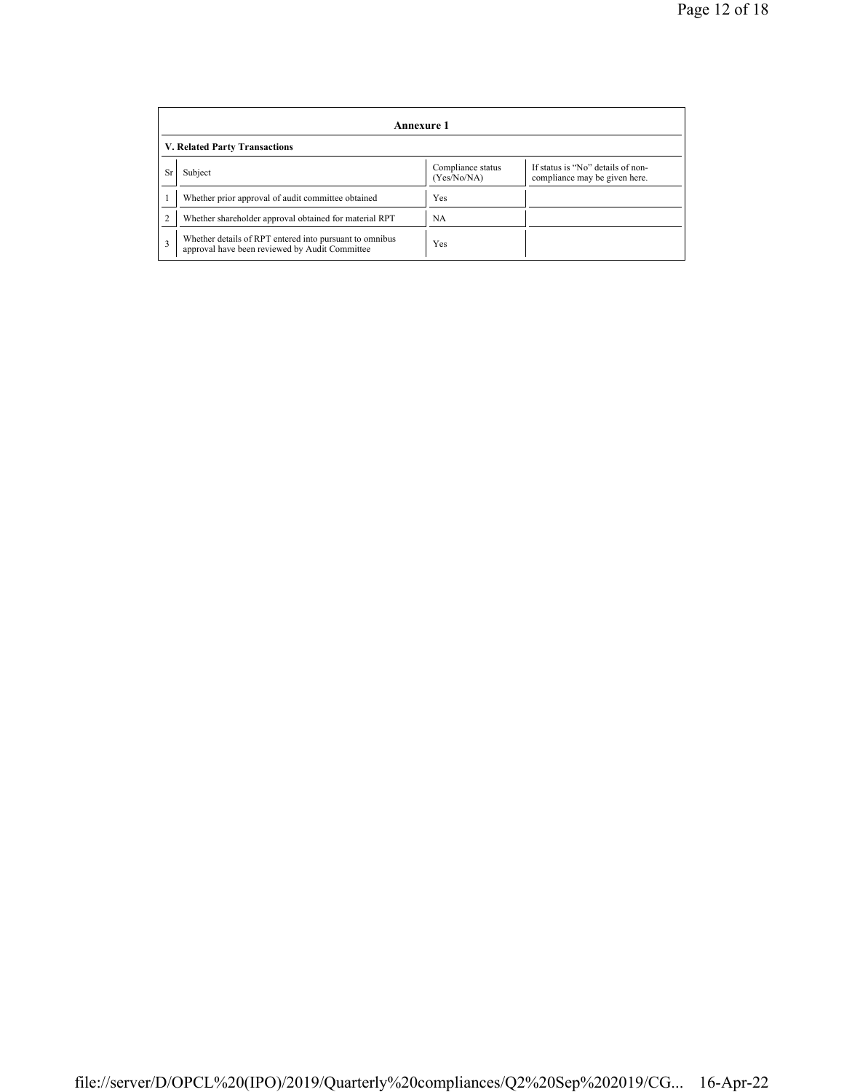|    | Annexure 1                                                                                                |                                  |                                                                    |  |  |  |  |  |
|----|-----------------------------------------------------------------------------------------------------------|----------------------------------|--------------------------------------------------------------------|--|--|--|--|--|
|    | V. Related Party Transactions                                                                             |                                  |                                                                    |  |  |  |  |  |
| Sr | Subject                                                                                                   | Compliance status<br>(Yes/No/NA) | If status is "No" details of non-<br>compliance may be given here. |  |  |  |  |  |
|    | Whether prior approval of audit committee obtained                                                        | Yes                              |                                                                    |  |  |  |  |  |
|    | Whether shareholder approval obtained for material RPT                                                    | <b>NA</b>                        |                                                                    |  |  |  |  |  |
|    | Whether details of RPT entered into pursuant to omnibus<br>approval have been reviewed by Audit Committee | Yes                              |                                                                    |  |  |  |  |  |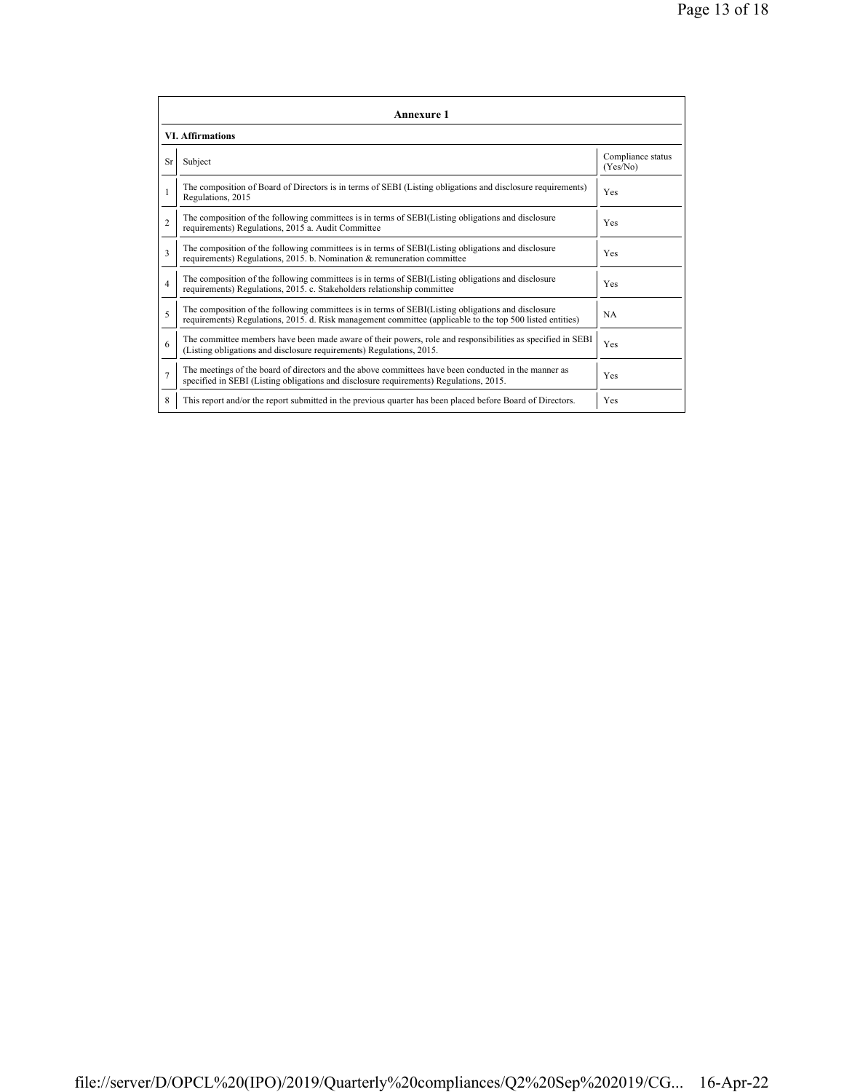|                | <b>Annexure 1</b>                                                                                                                                                                                               |                               |  |  |  |
|----------------|-----------------------------------------------------------------------------------------------------------------------------------------------------------------------------------------------------------------|-------------------------------|--|--|--|
|                | <b>VI. Affirmations</b>                                                                                                                                                                                         |                               |  |  |  |
| <b>Sr</b>      | Subject                                                                                                                                                                                                         | Compliance status<br>(Yes/No) |  |  |  |
|                | The composition of Board of Directors is in terms of SEBI (Listing obligations and disclosure requirements)<br>Regulations, 2015                                                                                | Yes                           |  |  |  |
| $\overline{c}$ | The composition of the following committees is in terms of SEBI(Listing obligations and disclosure<br>requirements) Regulations, 2015 a. Audit Committee                                                        | <b>Yes</b>                    |  |  |  |
| 3              | The composition of the following committees is in terms of SEBI(Listing obligations and disclosure<br>requirements) Regulations, 2015. b. Nomination & remuneration committee                                   | <b>Yes</b>                    |  |  |  |
| $\overline{4}$ | The composition of the following committees is in terms of SEBI(Listing obligations and disclosure<br>requirements) Regulations, 2015. c. Stakeholders relationship committee                                   | Yes                           |  |  |  |
| 5              | The composition of the following committees is in terms of SEBI(Listing obligations and disclosure<br>requirements) Regulations, 2015. d. Risk management committee (applicable to the top 500 listed entities) | <b>NA</b>                     |  |  |  |
| 6              | The committee members have been made aware of their powers, role and responsibilities as specified in SEBI<br>(Listing obligations and disclosure requirements) Regulations, 2015.                              | Yes                           |  |  |  |
| $\overline{7}$ | The meetings of the board of directors and the above committees have been conducted in the manner as<br>specified in SEBI (Listing obligations and disclosure requirements) Regulations, 2015.                  | Yes                           |  |  |  |
| 8              | This report and/or the report submitted in the previous quarter has been placed before Board of Directors.                                                                                                      | Yes                           |  |  |  |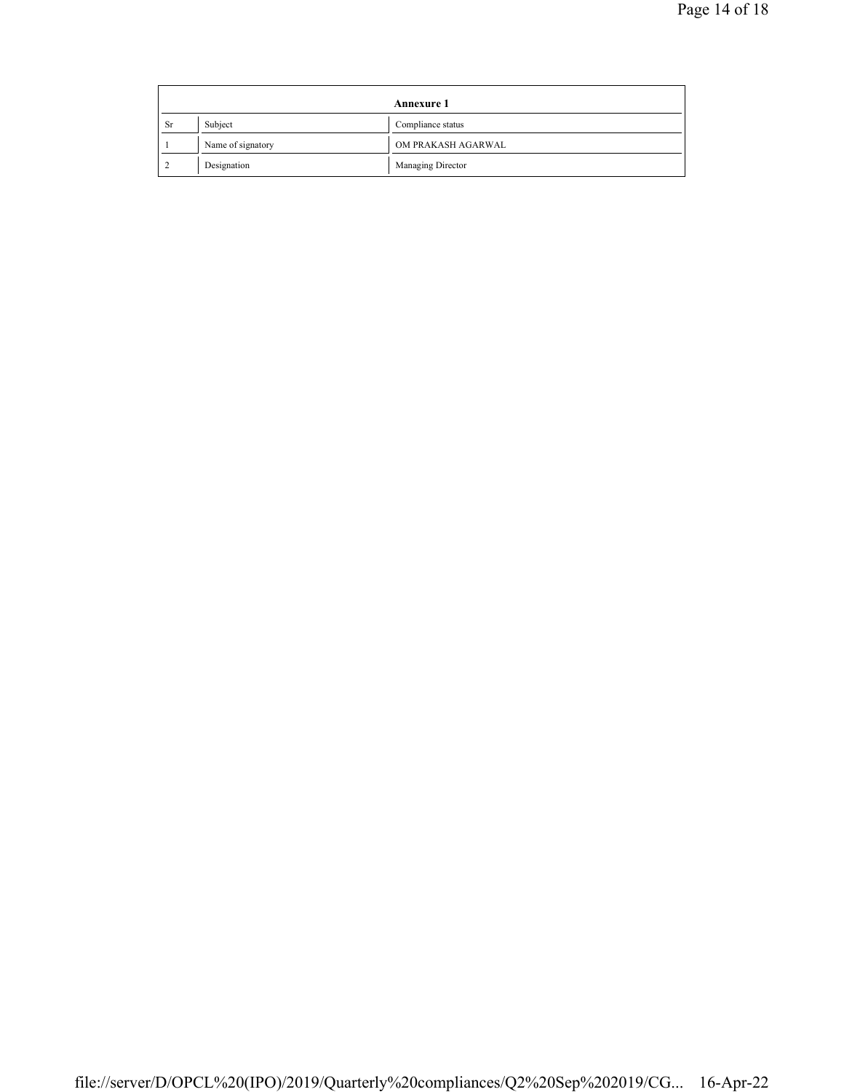|           | Annexure 1        |                    |
|-----------|-------------------|--------------------|
| <b>Sr</b> | Subject           | Compliance status  |
|           | Name of signatory | OM PRAKASH AGARWAL |
|           | Designation       | Managing Director  |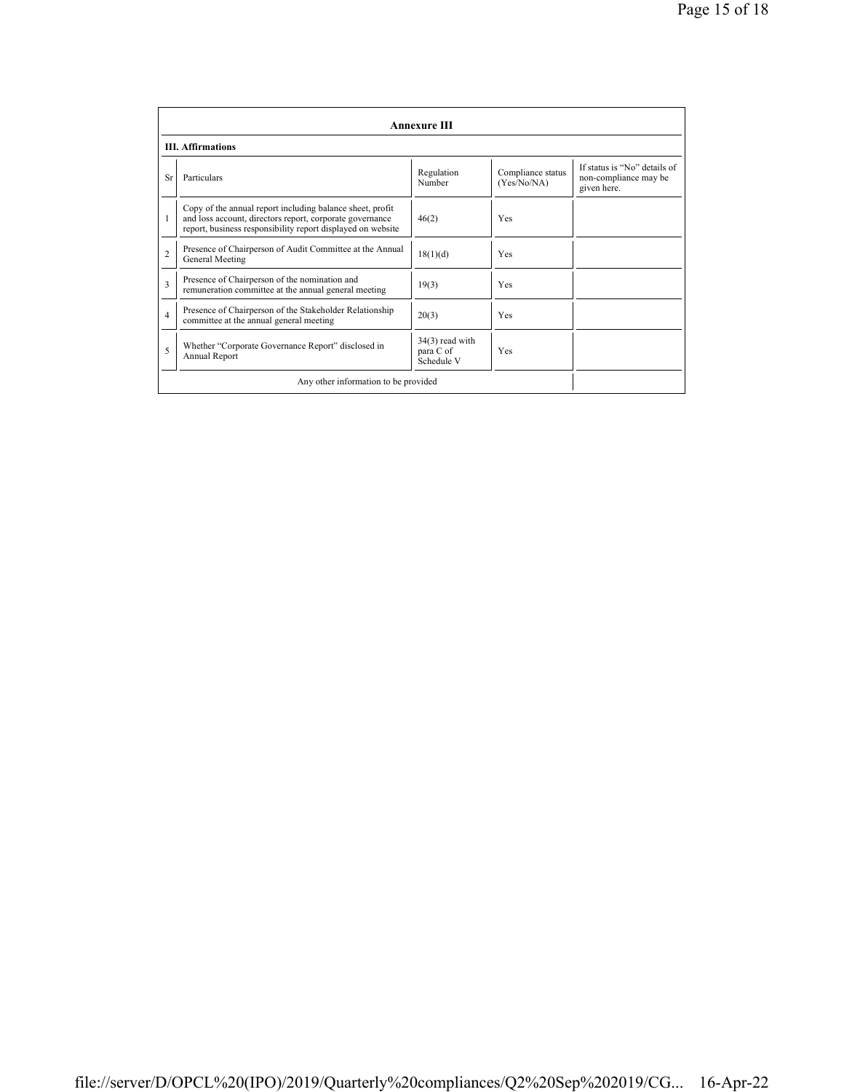|                                      | <b>Annexure III</b>                                                                                                                                                                  |                                              |                                  |                                                                      |  |  |
|--------------------------------------|--------------------------------------------------------------------------------------------------------------------------------------------------------------------------------------|----------------------------------------------|----------------------------------|----------------------------------------------------------------------|--|--|
|                                      | <b>III.</b> Affirmations                                                                                                                                                             |                                              |                                  |                                                                      |  |  |
| <b>Sr</b>                            | Particulars                                                                                                                                                                          | Regulation<br>Number                         | Compliance status<br>(Yes/No/NA) | If status is "No" details of<br>non-compliance may be<br>given here. |  |  |
| 1                                    | Copy of the annual report including balance sheet, profit<br>and loss account, directors report, corporate governance<br>report, business responsibility report displayed on website | 46(2)                                        | Yes                              |                                                                      |  |  |
| $\mathfrak{D}$                       | Presence of Chairperson of Audit Committee at the Annual<br>General Meeting                                                                                                          | 18(1)(d)                                     | Yes                              |                                                                      |  |  |
| $\mathbf{3}$                         | Presence of Chairperson of the nomination and<br>remuneration committee at the annual general meeting                                                                                | 19(3)                                        | Yes                              |                                                                      |  |  |
| $\overline{4}$                       | Presence of Chairperson of the Stakeholder Relationship<br>committee at the annual general meeting                                                                                   | 20(3)                                        | Yes                              |                                                                      |  |  |
| 5                                    | Whether "Corporate Governance Report" disclosed in<br>Annual Report                                                                                                                  | $34(3)$ read with<br>para C of<br>Schedule V | Yes                              |                                                                      |  |  |
| Any other information to be provided |                                                                                                                                                                                      |                                              |                                  |                                                                      |  |  |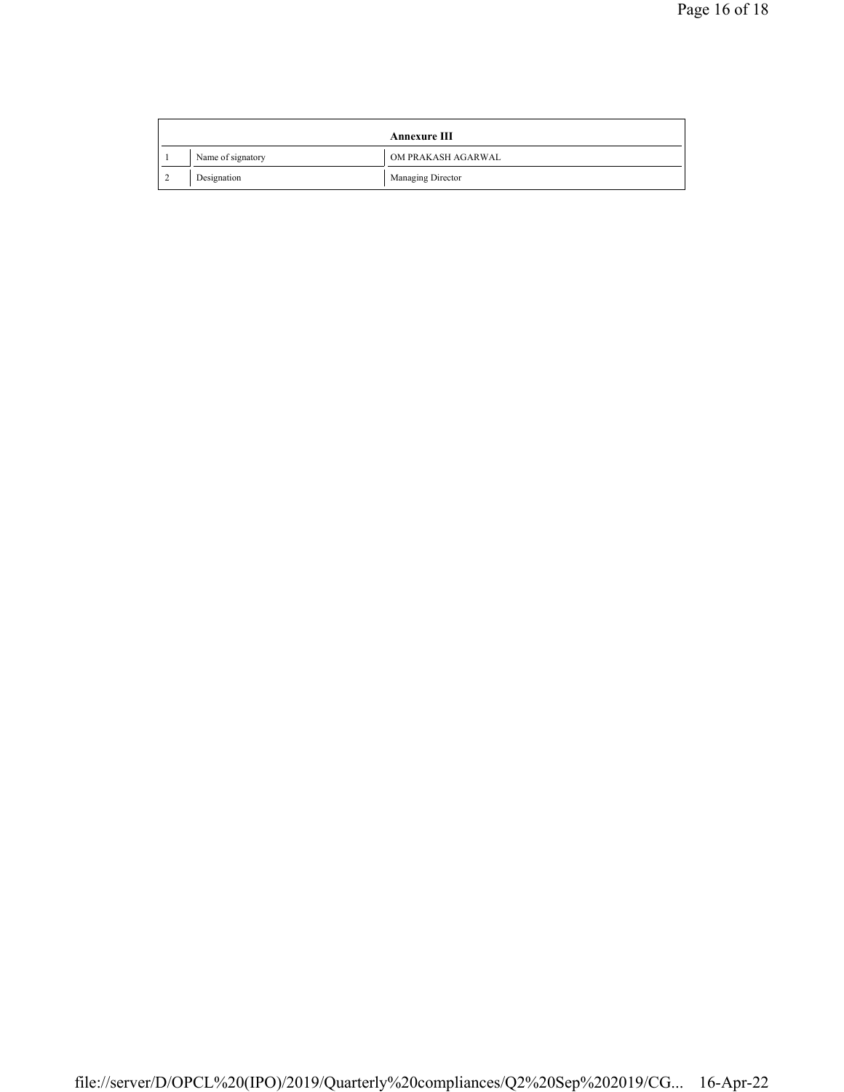|  |  |                   | <b>Annexure III</b> |
|--|--|-------------------|---------------------|
|  |  | Name of signatory | OM PRAKASH AGARWAL  |
|  |  | Designation       | Managing Director   |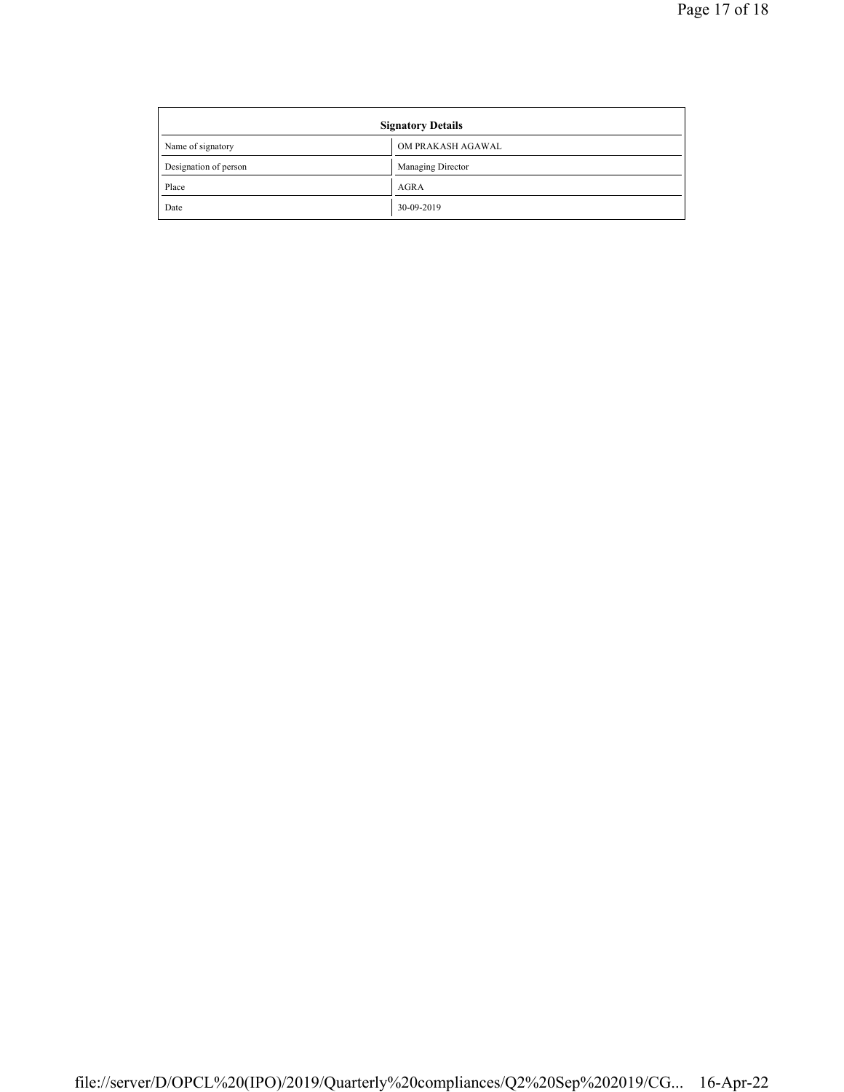| <b>Signatory Details</b> |                   |  |
|--------------------------|-------------------|--|
| Name of signatory        | OM PRAKASH AGAWAL |  |
| Designation of person    | Managing Director |  |
| Place                    | <b>AGRA</b>       |  |
| Date                     | 30-09-2019        |  |